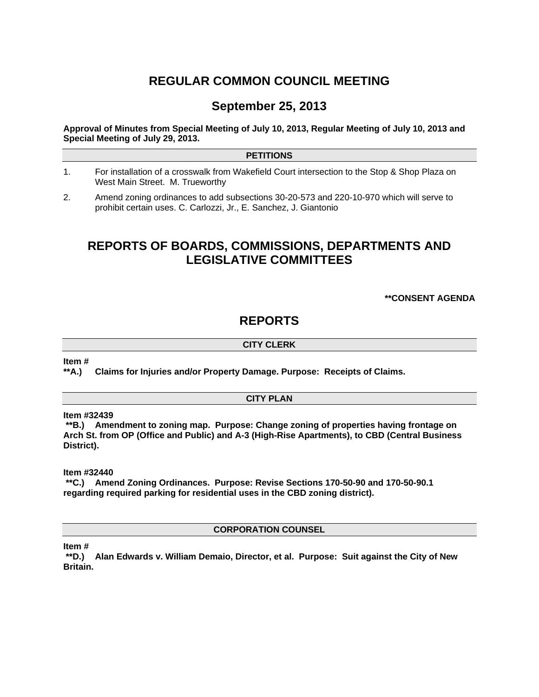# **REGULAR COMMON COUNCIL MEETING**

# **September 25, 2013**

**Approval of Minutes from Special Meeting of July 10, 2013, Regular Meeting of July 10, 2013 and Special Meeting of July 29, 2013.** 

### **PETITIONS**

- 1. For installation of a crosswalk from Wakefield Court intersection to the Stop & Shop Plaza on West Main Street. M. Trueworthy
- 2. Amend zoning ordinances to add subsections 30-20-573 and 220-10-970 which will serve to prohibit certain uses. C. Carlozzi, Jr., E. Sanchez, J. Giantonio

# **REPORTS OF BOARDS, COMMISSIONS, DEPARTMENTS AND LEGISLATIVE COMMITTEES**

**\*\*CONSENT AGENDA** 

# **REPORTS**

## **CITY CLERK**

**Item #** 

**\*\*A.) Claims for Injuries and/or Property Damage. Purpose: Receipts of Claims.** 

#### **CITY PLAN**

**Item #32439** 

 **\*\*B.) Amendment to zoning map. Purpose: Change zoning of properties having frontage on Arch St. from OP (Office and Public) and A-3 (High-Rise Apartments), to CBD (Central Business District).** 

**Item #32440** 

 **\*\*C.) Amend Zoning Ordinances. Purpose: Revise Sections 170-50-90 and 170-50-90.1 regarding required parking for residential uses in the CBD zoning district).** 

**CORPORATION COUNSEL** 

**Item #** 

 **\*\*D.) Alan Edwards v. William Demaio, Director, et al. Purpose: Suit against the City of New Britain.**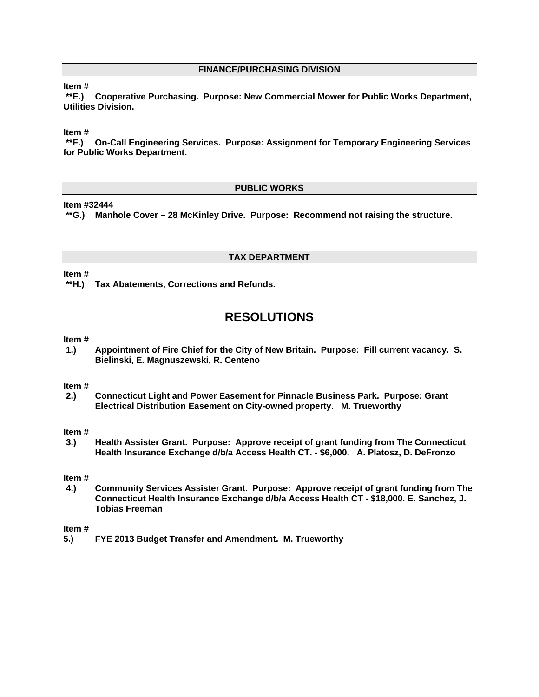# **FINANCE/PURCHASING DIVISION**

## **Item #**

 **\*\*E.) Cooperative Purchasing. Purpose: New Commercial Mower for Public Works Department, Utilities Division.** 

### **Item #**

 **\*\*F.) On-Call Engineering Services. Purpose: Assignment for Temporary Engineering Services for Public Works Department.** 

### **PUBLIC WORKS**

### **Item #32444**

 **\*\*G.) Manhole Cover – 28 McKinley Drive. Purpose: Recommend not raising the structure.** 

# **TAX DEPARTMENT**

### **Item #**

 **\*\*H.) Tax Abatements, Corrections and Refunds.** 

# **RESOLUTIONS**

#### **Item #**

**1.) Appointment of Fire Chief for the City of New Britain. Purpose: Fill current vacancy. S. Bielinski, E. Magnuszewski, R. Centeno** 

#### **Item #**

**2.) Connecticut Light and Power Easement for Pinnacle Business Park. Purpose: Grant Electrical Distribution Easement on City-owned property. M. Trueworthy** 

### **Item #**

**3.) Health Assister Grant. Purpose: Approve receipt of grant funding from The Connecticut Health Insurance Exchange d/b/a Access Health CT. - \$6,000. A. Platosz, D. DeFronzo** 

#### **Item #**

**4.) Community Services Assister Grant. Purpose: Approve receipt of grant funding from The Connecticut Health Insurance Exchange d/b/a Access Health CT - \$18,000. E. Sanchez, J. Tobias Freeman** 

### **Item #**

**5.) FYE 2013 Budget Transfer and Amendment. M. Trueworthy**